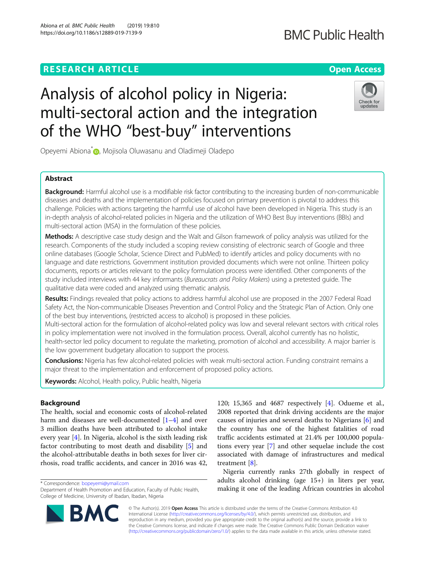# **RESEARCH ARTICLE Example 2018 12:30 THE Open Access**

# Analysis of alcohol policy in Nigeria: multi-sectoral action and the integration of the WHO "best-buy" interventions

Opeyemi Abiona<sup>[\\*](http://orcid.org/0000-0001-6706-5683)</sup> , Mojisola Oluwasanu and Oladimeji Oladepo

# Abstract

Background: Harmful alcohol use is a modifiable risk factor contributing to the increasing burden of non-communicable diseases and deaths and the implementation of policies focused on primary prevention is pivotal to address this challenge. Policies with actions targeting the harmful use of alcohol have been developed in Nigeria. This study is an in-depth analysis of alcohol-related policies in Nigeria and the utilization of WHO Best Buy interventions (BBIs) and multi-sectoral action (MSA) in the formulation of these policies.

Methods: A descriptive case study design and the Walt and Gilson framework of policy analysis was utilized for the research. Components of the study included a scoping review consisting of electronic search of Google and three online databases (Google Scholar, Science Direct and PubMed) to identify articles and policy documents with no language and date restrictions. Government institution provided documents which were not online. Thirteen policy documents, reports or articles relevant to the policy formulation process were identified. Other components of the study included interviews with 44 key informants (Bureaucrats and Policy Makers) using a pretested quide. The qualitative data were coded and analyzed using thematic analysis.

Results: Findings revealed that policy actions to address harmful alcohol use are proposed in the 2007 Federal Road Safety Act, the Non-communicable Diseases Prevention and Control Policy and the Strategic Plan of Action. Only one of the best buy interventions, (restricted access to alcohol) is proposed in these policies.

Multi-sectoral action for the formulation of alcohol-related policy was low and several relevant sectors with critical roles in policy implementation were not involved in the formulation process. Overall, alcohol currently has no holistic, health-sector led policy document to regulate the marketing, promotion of alcohol and accessibility. A major barrier is the low government budgetary allocation to support the process.

**Conclusions:** Nigeria has few alcohol-related policies with weak multi-sectoral action. Funding constraint remains a major threat to the implementation and enforcement of proposed policy actions.

Keywords: Alcohol, Health policy, Public health, Nigeria

# Background

The health, social and economic costs of alcohol-related harm and diseases are well-documented [\[1](#page-7-0)–[4](#page-7-0)] and over 3 million deaths have been attributed to alcohol intake every year [[4\]](#page-7-0). In Nigeria, alcohol is the sixth leading risk factor contributing to most death and disability [[5](#page-7-0)] and the alcohol-attributable deaths in both sexes for liver cirrhosis, road traffic accidents, and cancer in 2016 was 42,

\* Correspondence: [bopeyemi@ymail.com](mailto:bopeyemi@ymail.com)

treatment [[8\]](#page-7-0). Nigeria currently ranks 27th globally in respect of adults alcohol drinking (age 15+) in liters per year, making it one of the leading African countries in alcohol

© The Author(s). 2019 Open Access This article is distributed under the terms of the Creative Commons Attribution 4.0 International License [\(http://creativecommons.org/licenses/by/4.0/](http://creativecommons.org/licenses/by/4.0/)), which permits unrestricted use, distribution, and reproduction in any medium, provided you give appropriate credit to the original author(s) and the source, provide a link to the Creative Commons license, and indicate if changes were made. The Creative Commons Public Domain Dedication waiver [\(http://creativecommons.org/publicdomain/zero/1.0/](http://creativecommons.org/publicdomain/zero/1.0/)) applies to the data made available in this article, unless otherwise stated.

120; 15,365 and 4687 respectively [\[4](#page-7-0)]. Odueme et al., 2008 reported that drink driving accidents are the major causes of injuries and several deaths to Nigerians [\[6](#page-7-0)] and the country has one of the highest fatalities of road traffic accidents estimated at 21.4% per 100,000 populations every year [[7](#page-7-0)] and other sequelae include the cost associated with damage of infrastructures and medical

**BMC Public Health** 





Department of Health Promotion and Education, Faculty of Public Health, College of Medicine, University of Ibadan, Ibadan, Nigeria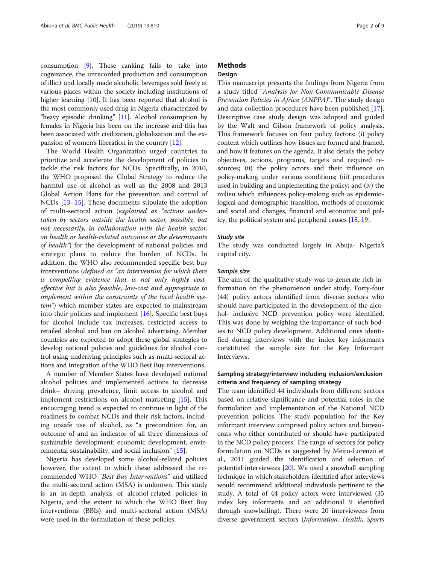consumption [[9](#page-7-0)]. These ranking fails to take into cognizance, the unrecorded production and consumption of illicit and locally made alcoholic beverages sold freely at various places within the society including institutions of higher learning [\[10\]](#page-7-0). It has been reported that alcohol is the most commonly used drug in Nigeria characterized by "heavy episodic drinking"  $[11]$  $[11]$ . Alcohol consumption by females in Nigeria has been on the increase and this has been associated with civilization, globalization and the expansion of women's liberation in the country [\[12\]](#page-7-0).

The World Health Organization urged countries to prioritize and accelerate the development of policies to tackle the risk factors for NCDs. Specifically, in 2010, the WHO proposed the Global Strategy to reduce the harmful use of alcohol as well as the 2008 and 2013 Global Action Plans for the prevention and control of NCDs [[13](#page-7-0)–[15](#page-7-0)]. These documents stipulate the adoption of multi-sectoral action (explained as "actions undertaken by sectors outside the health sector, possibly, but not necessarily, in collaboration with the health sector, on health or health-related outcomes or the determinants of health") for the development of national policies and strategic plans to reduce the burden of NCDs. In addition, the WHO also recommended specific best buy interventions (defined as "an intervention for which there is compelling evidence that is not only highly costeffective but is also feasible, low-cost and appropriate to implement within the constraints of the local health system") which member states are expected to mainstream into their policies and implement [[16\]](#page-7-0). Specific best buys for alcohol include tax increases, restricted access to retailed alcohol and ban on alcohol advertising. Member countries are expected to adopt these global strategies to develop national policies and guidelines for alcohol control using underlying principles such as multi-sectoral actions and integration of the WHO Best Buy interventions.

A number of Member States have developed national alcohol policies and implemented actions to decrease drink– driving prevalence, limit access to alcohol and implement restrictions on alcohol marketing [[15\]](#page-7-0). This encouraging trend is expected to continue in light of the readiness to combat NCDs and their risk factors, including unsafe use of alcohol, as "a precondition for, an outcome of and an indicator of all three dimensions of sustainable development: economic development, environmental sustainability, and social inclusion" [\[15\]](#page-7-0).

Nigeria has developed some alcohol-related policies however, the extent to which these addressed the recommended WHO "Best Buy Interventions" and utilized the multi-sectoral action (MSA) is unknown. This study is an in-depth analysis of alcohol-related policies in Nigeria, and the extent to which the WHO Best Buy interventions (BBIs) and multi-sectoral action (MSA) were used in the formulation of these policies.

# **Methods**

# Design

This manuscript presents the findings from Nigeria from a study titled "Analysis for Non-Communicable Disease Prevention Policies in Africa (ANPPA)". The study design and data collection procedures have been published [\[17](#page-7-0)]. Descriptive case study design was adopted and guided by the Walt and Gilson framework of policy analysis. This framework focuses on four policy factors: (i) policy content which outlines how issues are formed and framed, and how it features on the agenda. It also details the policy objectives, actions, programs, targets and required resources; (ii) the policy actors and their influence on policy-making under various conditions; (iii) procedures used in building and implementing the policy; and (iv) the milieu which influences policy-making such as epidemiological and demographic transition, methods of economic and social and changes, financial and economic and policy, the political system and peripheral causes [[18](#page-7-0), [19\]](#page-7-0).

#### Study site

The study was conducted largely in Abuja- Nigeria's capital city.

### Sample size

The aim of the qualitative study was to generate rich information on the phenomenon under study. Forty-four (44) policy actors identified from diverse sectors who should have participated in the development of the alcohol- inclusive NCD prevention policy were identified. This was done by weighing the importance of such bodies to NCD policy development. Additional ones identified during interviews with the index key informants constituted the sample size for the Key Informant Interviews.

# Sampling strategy/interview including inclusion/exclusion criteria and frequency of sampling strategy

The team identified 44 individuals from different sectors based on relative significance and potential roles in the formulation and implementation of the National NCD prevention policies. The study population for the Key informant interview comprised policy actors and bureaucrats who either contributed or should have participated in the NCD policy process. The range of sectors for policy formulation on NCDs as suggested by Meiro-Lorenzo et al., 2011 guided the identification and selection of potential interviewees [\[20\]](#page-7-0). We used a snowball sampling technique in which stakeholders identified after interviews would recommend additional individuals pertinent to the study. A total of 44 policy actors were interviewed (35 index key informants and an additional 9 identified through snowballing). There were 20 interviewees from diverse government sectors (Information, Health, Sports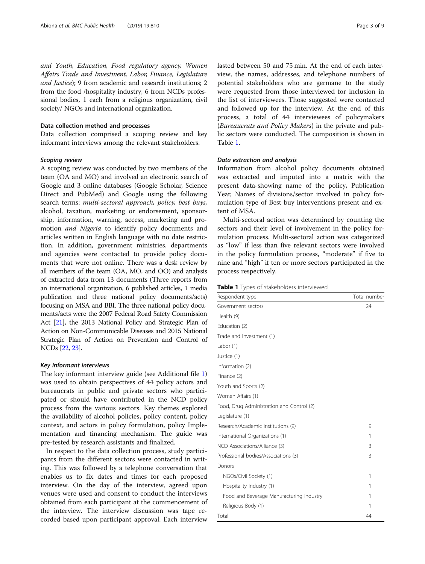and Youth, Education, Food regulatory agency, Women Affairs Trade and Investment, Labor, Finance, Legislature and Justice); 9 from academic and research institutions; 2 from the food /hospitality industry, 6 from NCDs professional bodies, 1 each from a religious organization, civil society/ NGOs and international organization.

#### Data collection method and processes

Data collection comprised a scoping review and key informant interviews among the relevant stakeholders.

### Scoping review

A scoping review was conducted by two members of the team (OA and MO) and involved an electronic search of Google and 3 online databases (Google Scholar, Science Direct and PubMed) and Google using the following search terms: multi-sectoral approach, policy, best buys, alcohol, taxation, marketing or endorsement, sponsorship, information, warning, access, marketing and promotion and Nigeria to identify policy documents and articles written in English language with no date restriction. In addition, government ministries, departments and agencies were contacted to provide policy documents that were not online. There was a desk review by all members of the team (OA, MO, and OO) and analysis of extracted data from 13 documents (Three reports from an international organization, 6 published articles, 1 media publication and three national policy documents/acts) focusing on MSA and BBI. The three national policy documents/acts were the 2007 Federal Road Safety Commission Act [\[21\]](#page-8-0), the 2013 National Policy and Strategic Plan of Action on Non-Communicable Diseases and 2015 National Strategic Plan of Action on Prevention and Control of NCDs [[22](#page-8-0), [23](#page-8-0)].

#### Key informant interviews

The key informant interview guide (see Additional file [1](#page-7-0)) was used to obtain perspectives of 44 policy actors and bureaucrats in public and private sectors who participated or should have contributed in the NCD policy process from the various sectors. Key themes explored the availability of alcohol policies, policy content, policy context, and actors in policy formulation, policy Implementation and financing mechanism. The guide was pre-tested by research assistants and finalized.

In respect to the data collection process, study participants from the different sectors were contacted in writing. This was followed by a telephone conversation that enables us to fix dates and times for each proposed interview. On the day of the interview, agreed upon venues were used and consent to conduct the interviews obtained from each participant at the commencement of the interview. The interview discussion was tape recorded based upon participant approval. Each interview lasted between 50 and 75 min. At the end of each interview, the names, addresses, and telephone numbers of potential stakeholders who are germane to the study were requested from those interviewed for inclusion in the list of interviewees. Those suggested were contacted and followed up for the interview. At the end of this process, a total of 44 interviewees of policymakers (Bureaucrats and Policy Makers) in the private and public sectors were conducted. The composition is shown in Table 1.

#### Data extraction and analysis

Information from alcohol policy documents obtained was extracted and imputed into a matrix with the present data-showing name of the policy, Publication Year, Names of divisions/sector involved in policy formulation type of Best buy interventions present and extent of MSA.

Multi-sectoral action was determined by counting the sectors and their level of involvement in the policy formulation process. Multi-sectoral action was categorized as "low" if less than five relevant sectors were involved in the policy formulation process, "moderate" if five to nine and "high" if ten or more sectors participated in the process respectively.

| Table 1 Types of stakeholders interviewed |  |
|-------------------------------------------|--|
|-------------------------------------------|--|

| Respondent type                           | Total number |
|-------------------------------------------|--------------|
| Government sectors                        | 24           |
| Health (9)                                |              |
| Education (2)                             |              |
| Trade and Investment (1)                  |              |
| Labor (1)                                 |              |
| Justice (1)                               |              |
| Information (2)                           |              |
| Finance (2)                               |              |
| Youth and Sports (2)                      |              |
| Women Affairs (1)                         |              |
| Food, Drug Administration and Control (2) |              |
| Legislature (1)                           |              |
| Research/Academic institutions (9)        | 9            |
| International Organizations (1)           | 1            |
| NCD Associations/Alliance (3)             | 3            |
| Professional bodies/Associations (3)      | 3            |
| Donors                                    |              |
| NGOs/Civil Society (1)                    | 1            |
| Hospitality Industry (1)                  | 1            |
| Food and Beverage Manufacturing Industry  | 1            |
| Religious Body (1)                        | 1            |
| Total                                     | 44           |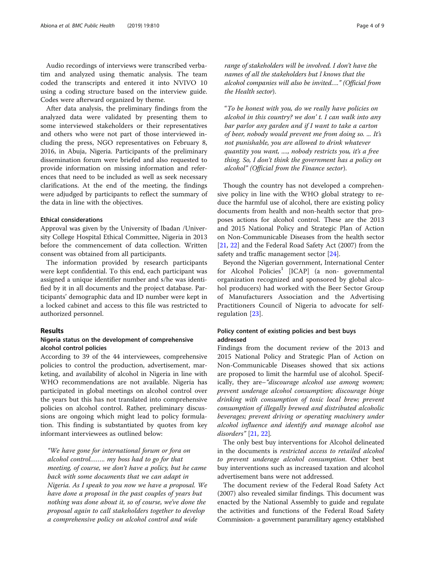Audio recordings of interviews were transcribed verbatim and analyzed using thematic analysis. The team coded the transcripts and entered it into NVIVO 10 using a coding structure based on the interview guide. Codes were afterward organized by theme.

After data analysis, the preliminary findings from the analyzed data were validated by presenting them to some interviewed stakeholders or their representatives and others who were not part of those interviewed including the press, NGO representatives on February 8, 2016, in Abuja, Nigeria. Participants of the preliminary dissemination forum were briefed and also requested to provide information on missing information and references that need to be included as well as seek necessary clarifications. At the end of the meeting, the findings were adjudged by participants to reflect the summary of the data in line with the objectives.

#### Ethical considerations

Approval was given by the University of Ibadan /University College Hospital Ethical Committee, Nigeria in 2013 before the commencement of data collection. Written consent was obtained from all participants.

The information provided by research participants were kept confidential. To this end, each participant was assigned a unique identifier number and s/he was identified by it in all documents and the project database. Participants' demographic data and ID number were kept in a locked cabinet and access to this file was restricted to authorized personnel.

# Results

# Nigeria status on the development of comprehensive alcohol control policies

According to 39 of the 44 interviewees, comprehensive policies to control the production, advertisement, marketing, and availability of alcohol in Nigeria in line with WHO recommendations are not available. Nigeria has participated in global meetings on alcohol control over the years but this has not translated into comprehensive policies on alcohol control. Rather, preliminary discussions are ongoing which might lead to policy formulation. This finding is substantiated by quotes from key informant interviewees as outlined below:

"We have gone for international forum or fora on alcohol control…….. my boss had to go for that meeting, of course, we don't have a policy, but he came back with some documents that we can adapt in Nigeria. As I speak to you now we have a proposal. We have done a proposal in the past couples of years but nothing was done about it, so of course, we've done the proposal again to call stakeholders together to develop a comprehensive policy on alcohol control and wide

range of stakeholders will be involved. I don't have the names of all the stakeholders but l knows that the alcohol companies will also be invited…." (Official from the Health sector).

"To be honest with you, do we really have policies on alcohol in this country? we don' t. I can walk into any bar parlor any garden and if I want to take a carton of beer, nobody would prevent me from doing so. ... It's not punishable, you are allowed to drink whatever quantity you want, ...., nobody restricts you, it's a free thing. So, I don't think the government has a policy on alcohol" (Official from the Finance sector).

Though the country has not developed a comprehensive policy in line with the WHO global strategy to reduce the harmful use of alcohol, there are existing policy documents from health and non-health sector that proposes actions for alcohol control. These are the 2013 and 2015 National Policy and Strategic Plan of Action on Non-Communicable Diseases from the health sector [[21,](#page-8-0) [22\]](#page-8-0) and the Federal Road Safety Act (2007) from the safety and traffic management sector [[24\]](#page-8-0).

Beyond the Nigerian government, International Center for Alcohol Policies<sup>1</sup> [ICAP] (a non-governmental organization recognized and sponsored by global alcohol producers) had worked with the Beer Sector Group of Manufacturers Association and the Advertising Practitioners Council of Nigeria to advocate for selfregulation [\[23](#page-8-0)].

# Policy content of existing policies and best buys addressed

Findings from the document review of the 2013 and 2015 National Policy and Strategic Plan of Action on Non-Communicable Diseases showed that six actions are proposed to limit the harmful use of alcohol. Specifically, they are–"discourage alcohol use among women; prevent underage alcohol consumption; discourage binge drinking with consumption of toxic local brew; prevent consumption of illegally brewed and distributed alcoholic beverages; prevent driving or operating machinery under alcohol influence and identify and manage alcohol use disorders" [[21,](#page-8-0) [22\]](#page-8-0).

The only best buy interventions for Alcohol delineated in the documents is restricted access to retailed alcohol to prevent underage alcohol consumption. Other best buy interventions such as increased taxation and alcohol advertisement bans were not addressed.

The document review of the Federal Road Safety Act (2007) also revealed similar findings. This document was enacted by the National Assembly to guide and regulate the activities and functions of the Federal Road Safety Commission- a government paramilitary agency established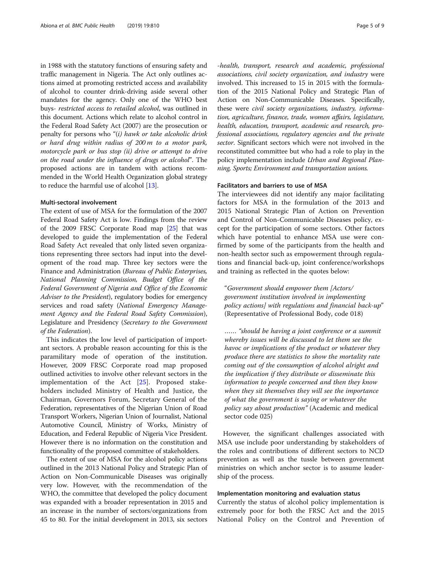in 1988 with the statutory functions of ensuring safety and traffic management in Nigeria. The Act only outlines actions aimed at promoting restricted access and availability of alcohol to counter drink-driving aside several other mandates for the agency. Only one of the WHO best buys- restricted access to retailed alcohol, was outlined in this document. Actions which relate to alcohol control in the Federal Road Safety Act (2007) are the prosecution or penalty for persons who "(i) hawk or take alcoholic drink or hard drug within radius of 200 m to a motor park, motorcycle park or bus stop (ii) drive or attempt to drive on the road under the influence of drugs or alcohol". The proposed actions are in tandem with actions recommended in the World Health Organization global strategy to reduce the harmful use of alcohol [\[13](#page-7-0)].

### Multi-sectoral involvement

The extent of use of MSA for the formulation of the 2007 Federal Road Safety Act is low. Findings from the review of the 2009 FRSC Corporate Road map [[25](#page-8-0)] that was developed to guide the implementation of the Federal Road Safety Act revealed that only listed seven organizations representing three sectors had input into the development of the road map. Three key sectors were the Finance and Administration (Bureau of Public Enterprises, National Planning Commission, Budget Office of the Federal Government of Nigeria and Office of the Economic Adviser to the President), regulatory bodies for emergency services and road safety (National Emergency Management Agency and the Federal Road Safety Commission), Legislature and Presidency (Secretary to the Government of the Federation).

This indicates the low level of participation of important sectors. A probable reason accounting for this is the paramilitary mode of operation of the institution. However, 2009 FRSC Corporate road map proposed outlined activities to involve other relevant sectors in the implementation of the Act [[25](#page-8-0)]. Proposed stakeholders included Ministry of Health and Justice, the Chairman, Governors Forum, Secretary General of the Federation, representatives of the Nigerian Union of Road Transport Workers, Nigerian Union of Journalist, National Automotive Council, Ministry of Works, Ministry of Education, and Federal Republic of Nigeria Vice President. However there is no information on the constitution and functionality of the proposed committee of stakeholders.

The extent of use of MSA for the alcohol policy actions outlined in the 2013 National Policy and Strategic Plan of Action on Non-Communicable Diseases was originally very low. However, with the recommendation of the WHO, the committee that developed the policy document was expanded with a broader representation in 2015 and an increase in the number of sectors/organizations from 45 to 80. For the initial development in 2013, six sectors

-health, transport, research and academic, professional associations, civil society organization, and industry were involved. This increased to 15 in 2015 with the formulation of the 2015 National Policy and Strategic Plan of Action on Non-Communicable Diseases. Specifically, these were civil society organizations, industry, information, agriculture, finance, trade, women affairs, legislature, health, education, transport, academic and research, professional associations, regulatory agencies and the private sector. Significant sectors which were not involved in the reconstituted committee but who had a role to play in the policy implementation include Urban and Regional Planning, Sports; Environment and transportation unions.

#### Facilitators and barriers to use of MSA

The interviewees did not identify any major facilitating factors for MSA in the formulation of the 2013 and 2015 National Strategic Plan of Action on Prevention and Control of Non-Communicable Diseases policy, except for the participation of some sectors. Other factors which have potential to enhance MSA use were confirmed by some of the participants from the health and non-health sector such as empowerment through regulations and financial back-up, joint conference/workshops and training as reflected in the quotes below:

"Government should empower them [Actors/ government institution involved in implementing policy actions] with regulations and financial back-up" (Representative of Professional Body, code 018)

…… "should be having a joint conference or a summit whereby issues will be discussed to let them see the havoc or implications of the product or whatever they produce there are statistics to show the mortality rate coming out of the consumption of alcohol alright and the implication if they distribute or disseminate this information to people concerned and then they know when they sit themselves they will see the importance of what the government is saying or whatever the policy say about production" (Academic and medical sector code 025)

However, the significant challenges associated with MSA use include poor understanding by stakeholders of the roles and contributions of different sectors to NCD prevention as well as the tussle between government ministries on which anchor sector is to assume leadership of the process.

#### Implementation monitoring and evaluation status

Currently the status of alcohol policy implementation is extremely poor for both the FRSC Act and the 2015 National Policy on the Control and Prevention of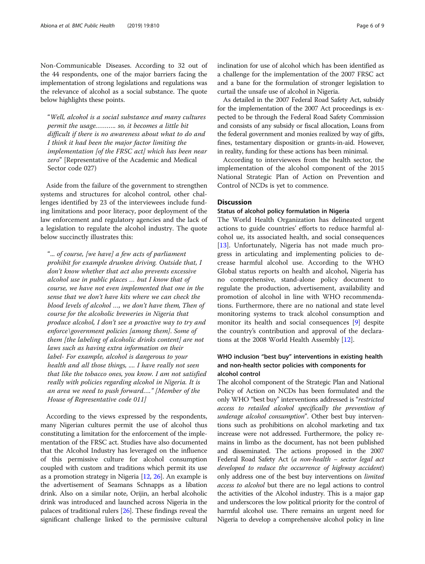Non-Communicable Diseases. According to 32 out of the 44 respondents, one of the major barriers facing the implementation of strong legislations and regulations was the relevance of alcohol as a social substance. The quote below highlights these points.

"Well, alcohol is a social substance and many cultures permit the usage……….. so, it becomes a little bit difficult if there is no awareness about what to do and I think it had been the major factor limiting the implementation [of the FRSC act] which has been near zero" [Representative of the Academic and Medical Sector code 027)

Aside from the failure of the government to strengthen systems and structures for alcohol control, other challenges identified by 23 of the interviewees include funding limitations and poor literacy, poor deployment of the law enforcement and regulatory agencies and the lack of a legislation to regulate the alcohol industry. The quote below succinctly illustrates this:

"... of course, [we have] a few acts of parliament prohibit for example drunken driving. Outside that, I don't know whether that act also prevents excessive alcohol use in public places … but I know that of course, we have not even implemented that one in the sense that we don't have kits where we can check the blood levels of alcohol …, we don't have them, Then of course for the alcoholic breweries in Nigeria that produce alcohol, I don't see a proactive way to try and enforce\government policies [among them]. Some of them [the labeling of alcoholic drinks content] are not laws such as having extra information on their label- For example, alcohol is dangerous to your health and all those things, .... I have really not seen that like the tobacco ones, you know. I am not satisfied really with policies regarding alcohol in Nigeria. It is an area we need to push forward…." [Member of the House of Representative code 011]

According to the views expressed by the respondents, many Nigerian cultures permit the use of alcohol thus constituting a limitation for the enforcement of the implementation of the FRSC act. Studies have also documented that the Alcohol Industry has leveraged on the influence of this permissive culture for alcohol consumption coupled with custom and traditions which permit its use as a promotion strategy in Nigeria [[12](#page-7-0), [26\]](#page-8-0). An example is the advertisement of Seamans Schnapps as a libation drink. Also on a similar note, Orijin, an herbal alcoholic drink was introduced and launched across Nigeria in the palaces of traditional rulers [\[26\]](#page-8-0). These findings reveal the significant challenge linked to the permissive cultural

inclination for use of alcohol which has been identified as a challenge for the implementation of the 2007 FRSC act and a bane for the formulation of stronger legislation to curtail the unsafe use of alcohol in Nigeria.

As detailed in the 2007 Federal Road Safety Act, subsidy for the implementation of the 2007 Act proceedings is expected to be through the Federal Road Safety Commission and consists of any subsidy or fiscal allocation, Loans from the federal government and monies realized by way of gifts, fines, testamentary disposition or grants-in-aid. However, in reality, funding for these actions has been minimal.

According to interviewees from the health sector, the implementation of the alcohol component of the 2015 National Strategic Plan of Action on Prevention and Control of NCDs is yet to commence.

# **Discussion**

#### Status of alcohol policy formulation in Nigeria

The World Health Organization has delineated urgent actions to guide countries' efforts to reduce harmful alcohol ue, its associated health, and social consequences [[13\]](#page-7-0). Unfortunately, Nigeria has not made much progress in articulating and implementing policies to decrease harmful alcohol use. According to the WHO Global status reports on health and alcohol, Nigeria has no comprehensive, stand-alone policy document to regulate the production, advertisement, availability and promotion of alcohol in line with WHO recommendations. Furthermore, there are no national and state level monitoring systems to track alcohol consumption and monitor its health and social consequences [\[9](#page-7-0)] despite the country's contribution and approval of the declarations at the 2008 World Health Assembly [[12\]](#page-7-0).

# WHO inclusion "best buy" interventions in existing health and non-health sector policies with components for alcohol control

The alcohol component of the Strategic Plan and National Policy of Action on NCDs has been formulated and the only WHO "best buy" interventions addressed is "restricted access to retailed alcohol specifically the prevention of underage alcohol consumption". Other best buy interventions such as prohibitions on alcohol marketing and tax increase were not addressed. Furthermore, the policy remains in limbo as the document, has not been published and disseminated. The actions proposed in the 2007 Federal Road Safety Act (a non-health – sector legal act developed to reduce the occurrence of highway accident) only address one of the best buy interventions on *limited* access to alcohol but there are no legal actions to control the activities of the Alcohol industry. This is a major gap and underscores the low political priority for the control of harmful alcohol use. There remains an urgent need for Nigeria to develop a comprehensive alcohol policy in line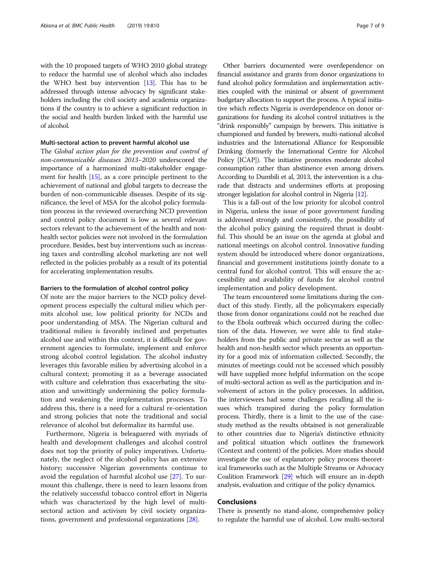with the 10 proposed targets of WHO 2010 global strategy to reduce the harmful use of alcohol which also includes the WHO best buy intervention [[13](#page-7-0)]. This has to be addressed through intense advocacy by significant stakeholders including the civil society and academia organizations if the country is to achieve a significant reduction in the social and health burden linked with the harmful use of alcohol.

# Multi-sectoral action to prevent harmful alcohol use

The Global action plan for the prevention and control of non-communicable diseases 2013–2020 underscored the importance of a harmonized multi-stakeholder engagement for health [[15](#page-7-0)], as a core principle pertinent to the achievement of national and global targets to decrease the burden of non-communicable diseases. Despite of its significance, the level of MSA for the alcohol policy formulation process in the reviewed overarching NCD prevention and control policy document is low as several relevant sectors relevant to the achievement of the health and nonhealth sector policies were not involved in the formulation procedure. Besides, best buy interventions such as increasing taxes and controlling alcohol marketing are not well reflected in the policies probably as a result of its potential for accelerating implementation results.

### Barriers to the formulation of alcohol control policy

Of note are the major barriers to the NCD policy development process especially the cultural milieu which permits alcohol use, low political priority for NCDs and poor understanding of MSA. The Nigerian cultural and traditional milieu is favorably inclined and perpetuates alcohol use and within this context, it is difficult for government agencies to formulate, implement and enforce strong alcohol control legislation. The alcohol industry leverages this favorable milieu by advertising alcohol in a cultural context; promoting it as a beverage associated with culture and celebration thus exacerbating the situation and unwittingly undermining the policy formulation and weakening the implementation processes. To address this, there is a need for a cultural re-orientation and strong policies that note the traditional and social relevance of alcohol but deformalize its harmful use.

Furthermore, Nigeria is beleaguered with myriads of health and development challenges and alcohol control does not top the priority of policy imperatives. Unfortunately, the neglect of the alcohol policy has an extensive history; successive Nigerian governments continue to avoid the regulation of harmful alcohol use [\[27](#page-8-0)]. To surmount this challenge, there is need to learn lessons from the relatively successful tobacco control effort in Nigeria which was characterized by the high level of multisectoral action and activism by civil society organizations, government and professional organizations [[28](#page-8-0)].

Other barriers documented were overdependence on financial assistance and grants from donor organizations to fund alcohol policy formulation and implementation activities coupled with the minimal or absent of government budgetary allocation to support the process. A typical initiative which reflects Nigeria is overdependence on donor organizations for funding its alcohol control initiatives is the "drink responsibly" campaign by brewers. This initiative is championed and funded by brewers, multi-national alcohol industries and the International Alliance for Responsible Drinking (formerly the International Centre for Alcohol Policy [ICAP]). The initiative promotes moderate alcohol consumption rather than abstinence even among drivers. According to Dumbili et al, 2013, the intervention is a charade that distracts and undermines efforts at proposing stronger legislation for alcohol control in Nigeria [\[12\]](#page-7-0).

This is a fall-out of the low priority for alcohol control in Nigeria, unless the issue of poor government funding is addressed strongly and consistently, the possibility of the alcohol policy gaining the required thrust is doubtful. This should be an issue on the agenda at global and national meetings on alcohol control. Innovative funding system should be introduced where donor organizations, financial and government institutions jointly donate to a central fund for alcohol control. This will ensure the accessibility and availability of funds for alcohol control implementation and policy development.

The team encountered some limitations during the conduct of this study. Firstly, all the policymakers especially those from donor organizations could not be reached due to the Ebola outbreak which occurred during the collection of the data. However, we were able to find stakeholders from the public and private sector as well as the health and non-health sector which presents an opportunity for a good mix of information collected. Secondly, the minutes of meetings could not be accessed which possibly will have supplied more helpful information on the scope of multi-sectoral action as well as the participation and involvement of actors in the policy processes. In addition, the interviewees had some challenges recalling all the issues which transpired during the policy formulation process. Thirdly, there is a limit to the use of the casestudy method as the results obtained is not generalizable to other countries due to Nigeria's distinctive ethnicity and political situation which outlines the framework (Context and content) of the policies. More studies should investigate the use of explanatory policy process theoretical frameworks such as the Multiple Streams or Advocacy Coalition Framework [[29\]](#page-8-0) which will ensure an in-depth analysis, evaluation and critique of the policy dynamics.

# Conclusions

There is presently no stand-alone, comprehensive policy to regulate the harmful use of alcohol. Low multi-sectoral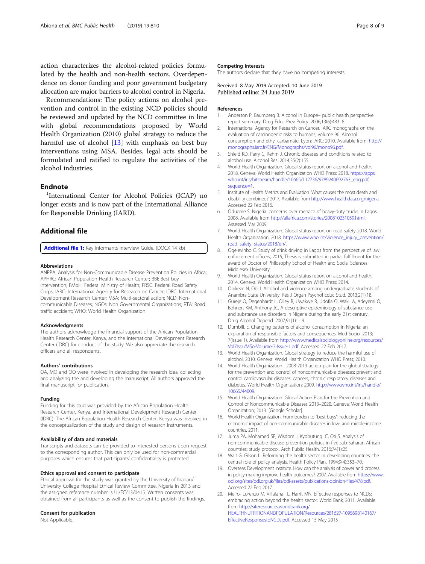<span id="page-7-0"></span>action characterizes the alcohol-related policies formulated by the health and non-health sectors. Overdependence on donor funding and poor government budgetary allocation are major barriers to alcohol control in Nigeria.

Recommendations: The policy actions on alcohol prevention and control in the existing NCD policies should be reviewed and updated by the NCD committee in line with global recommendations proposed by World Health Organization (2010) global strategy to reduce the harmful use of alcohol [13] with emphasis on best buy interventions using MSA. Besides, legal acts should be formulated and ratified to regulate the activities of the alcohol industries.

# **Endnote**

<sup>1</sup>International Center for Alcohol Policies (ICAP) no longer exists and is now part of the International Alliance for Responsible Drinking (IARD).

#### Additional file

[Additional file 1:](https://doi.org/10.1186/s12889-019-7139-9) Key informants Interview Guide. (DOCX 14 kb)

#### Abbreviations

ANPPA: Analysis for Non-Communicable Disease Prevention Policies in Africa; APHRC: African Population Health Research Center; BBI: Best buy intervention; FMoH: Federal Ministry of Health; FRSC: Federal Road Safety Corps; IARC: International Agency for Research on Cancer; IDRC: International Development Research Center; MSA: Multi-sectoral action; NCD: Noncommunicable Diseases; NGOs: Non Governmental Organizations; RTA: Road traffic accident; WHO: World Health Organization

#### Acknowledgments

The authors acknowledge the financial support of the African Population Health Research Center, Kenya, and the International Development Research Center (IDRC) for conduct of the study. We also appreciate the research officers and all respondents.

#### Authors' contributions

OA, MO and OO were involved in developing the research idea, collecting and analyzing the and developing the manuscript. All authors approved the final manuscript for publication.

#### Funding

Funding for this stud was provided by the African Population Health Research Center, Kenya, and International Development Research Center (IDRC). The African Population Health Research Center, Kenya was involved in the conceptualization of the study and design of research instruments.

#### Availability of data and materials

Transcripts and datasets can be provided to interested persons upon request to the corresponding author. This can only be used for non-commercial purposes which ensures that participants' confidentiality is protected.

#### Ethics approval and consent to participate

Ethical approval for the study was granted by the University of Ibadan/ University College Hospital Ethical Review Committee, Nigeria in 2013 and the assigned reference number is UI/EC/13/0415. Written consents was obtained from all participants as well as the consent to publish the findings.

#### Consent for publication

Not Applicable.

#### Competing interests

The authors declare that they have no competing interests.

Received: 8 May 2019 Accepted: 10 June 2019 Published online: 24 June 2019

#### References

- 1. Anderson P, Baumberg B. Alcohol in Europe– public health perspective: report summary. Drug Educ Prev Policy. 2006;13(6):483–8.
- 2. International Agency for Research on Cancer. IARC monographs on the evaluation of carcinogenic risks to humans, volume 96. Alcohol consumption and ethyl carbamate. Lyon: IARC; 2010. Available from: [http://](http://monographs.iarc.fr/ENG/Monographs/vol96/mono96.pdf) [monographs.iarc.fr/ENG/Monographs/vol96/mono96.pdf.](http://monographs.iarc.fr/ENG/Monographs/vol96/mono96.pdf)
- 3. Shield KD, Parry C, Rehm J. Chronic diseases and conditions related to alcohol use. Alcohol Res. 2014;35(2):155.
- 4. World Health Organization. Global status report on alcohol and health, 2018. Geneva: World Health Organization WHO Press; 2018. [https://apps.](https://apps.who.int/iris/bitstream/handle/10665/112736/9789240692763_eng.pdf;sequence=1) [who.int/iris/bitstream/handle/10665/112736/9789240692763\\_eng.pdf;](https://apps.who.int/iris/bitstream/handle/10665/112736/9789240692763_eng.pdf;sequence=1) [sequence=1.](https://apps.who.int/iris/bitstream/handle/10665/112736/9789240692763_eng.pdf;sequence=1)
- 5. Institute of Health Metrics and Evaluation. What causes the most death and disability combined? 2017. Available from [http://www.healthdata.org/nigeria.](http://www.healthdata.org/nigeria) Accessed 22 Feb 2016.
- 6. Odueme S. Nigeria: concerns over menace of heavy-duty trucks in Lagos. 2008. Available from <http://allafrica.com/stories/200810231059.html>. Assessed Mar 2009.
- 7. World Health Organization. Global status report on road safety 2018. World Health Organization; 2018. [https://www.who.int/violence\\_injury\\_prevention/](https://www.who.int/violence_injury_prevention/road_safety_status/2018/en/) [road\\_safety\\_status/2018/en/.](https://www.who.int/violence_injury_prevention/road_safety_status/2018/en/)
- 8. Ogeleyinbo C. Study of drink driving in Lagos from the perspective of law enforcement officers, 2015, Thesis is submitted in partial fulfillment for the award of Doctor of Philosophy School of Health and Social Sciences Middlesex University.
- 9. World Health Organization. Global status report on alcohol and health, 2014. Geneva: World Health Organization WHO Press; 2014.
- 10. Obikeze N, Obi I. Alcohol and violence among undergraduate students of Anambra State University. Res J Organ Psychol Educ Stud. 2013;2(1):18.
- 11. Gureje O, Degenhardt L, Olley B, Uwakwe R, Udofia O, Wakil A, Adeyemi O, Bohnert KM, Anthony JC. A descriptive epidemiology of substance use and substance use disorders in Nigeria during the early 21st century. Drug Alcohol Depend. 2007;91(1):1–9.
- 12. Dumbili. E. Changing patterns of alcohol consumption in Nigeria: an exploration of responsible factors and consequences. Med Sociol 2013; 7(Issue 1). Available from [http://www.medicalsociologyonline.org/resources/](http://www.medicalsociologyonline.org/resources/Vol7Iss1/MSo-Volume-7-Issue-1.pdf) [Vol7Iss1/MSo-Volume-7-Issue-1.pdf](http://www.medicalsociologyonline.org/resources/Vol7Iss1/MSo-Volume-7-Issue-1.pdf). Accessed 22 Feb 2017.
- 13. World Health Organization. Global strategy to reduce the harmful use of alcohol, 2010. Geneva: World Health Organization WHO Press; 2010.
- 14. World Health Organization . 2008-2013 action plan for the global strategy for the prevention and control of noncommunicable diseases: prevent and control cardiovascular diseases, cancers, chronic respiratory diseases and diabetes. World Health Organization; 2009. [http://www.who.int/iris/handle/](http://www.who.int/iris/handle/10665/44009) [10665/44009](http://www.who.int/iris/handle/10665/44009).
- 15. World Health Organization. Global Action Plan for the Prevention and Control of Noncommunicable Diseases 2013–2020. Geneva: World Health Organization; 2013. [Google Scholar].
- 16. World Health Organization. From burden to "best buys": reducing the economic impact of non-communicable diseases in low- and middle-income countries. 2011.
- 17. Juma PA, Mohamed SF, Wisdom J, Kyobutungi C, Oti S. Analysis of non-communicable disease prevention policies in five sub-Saharan African countries: study protocol. Arch Public Health. 2016;74(1):25.
- 18. Walt G, Gilson L. Reforming the health sector in developing countries: the central role of policy analysis. Health Policy Plan. 1994;9(4):353–70.
- 19. Overseas Development Institute. How can the analysis of power and process in policy-making improve health outcomes? 2007. Available from [https://www.](https://www.odi.org/sites/odi.org.uk/files/odi-assets/publications-opinion-files/478.pdf) [odi.org/sites/odi.org.uk/files/odi-assets/publications-opinion-files/478.pdf.](https://www.odi.org/sites/odi.org.uk/files/odi-assets/publications-opinion-files/478.pdf) Accessed 22 Feb 2017.
- 20. Meiro- Lorenzo M, Villafana TL, Harrit MN. Effective responses to NCDs: embracing action beyond the health sector: World Bank; 2011. Available from [http://siteresources.worldbank.org/](http://siteresources.worldbank.org/HEALTHNUTRITIONANDPOPULATION/Resources/281627-1095698140167/EffectiveResponsestoNCDs.pdf) [HEALTHNUTRITIONANDPOPULATION/Resources/281627-1095698140167/](http://siteresources.worldbank.org/HEALTHNUTRITIONANDPOPULATION/Resources/281627-1095698140167/EffectiveResponsestoNCDs.pdf) [EffectiveResponsestoNCDs.pdf](http://siteresources.worldbank.org/HEALTHNUTRITIONANDPOPULATION/Resources/281627-1095698140167/EffectiveResponsestoNCDs.pdf). Accessed 15 May 2015